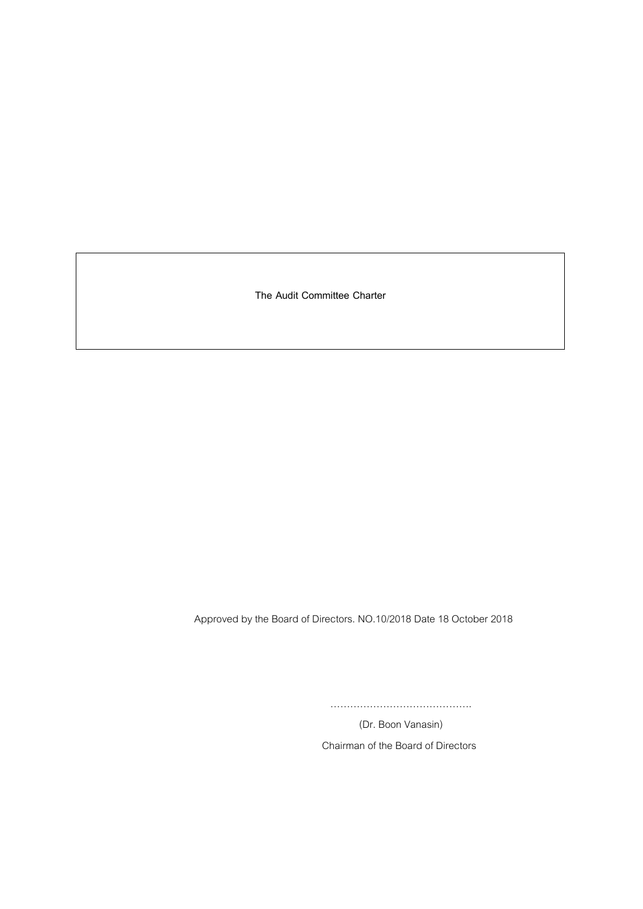**The Audit Committee Charter**

**Thonburi Healthcare Group Public Company Limited**

Approved by the Board of Directors. NO.10/2018 Date 18 October 2018

…………………………………….

(Dr. Boon Vanasin) Chairman of the Board of Directors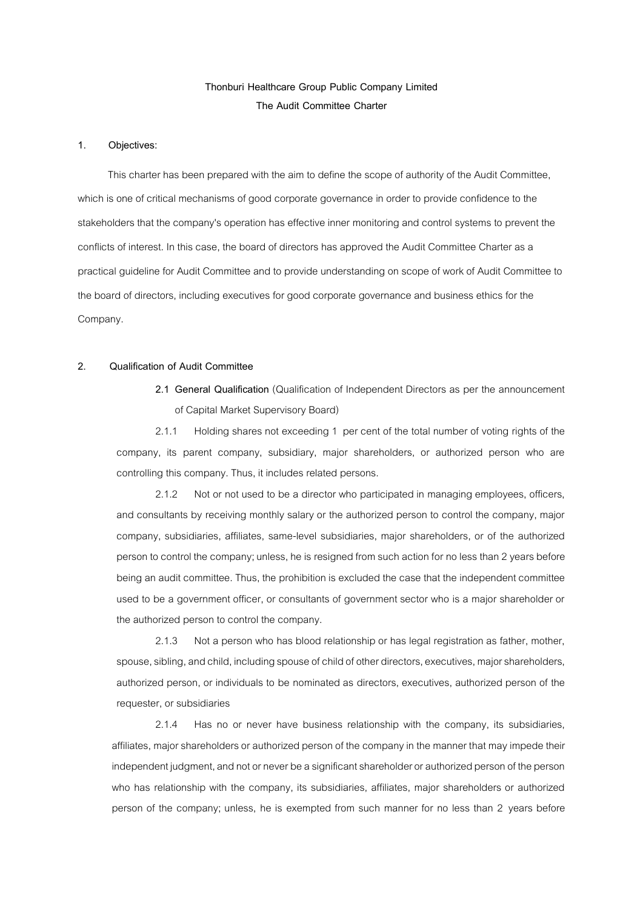# **Thonburi Healthcare Group Public Company Limited The Audit Committee Charter**

#### **1. Objectives:**

 This charter has been prepared with the aim to define the scope of authority of the Audit Committee, which is one of critical mechanisms of good corporate governance in order to provide confidence to the stakeholders that the company's operation has effective inner monitoring and control systems to prevent the conflicts of interest. In this case, the board of directors has approved the Audit Committee Charter as a practical guideline for Audit Committee and to provide understanding on scope of work of Audit Committee to the board of directors, including executives for good corporate governance and business ethics for the Company.

# **2. Qualification of Audit Committee**

**2.1 General Qualification** (Qualification of Independent Directors as per the announcement of Capital Market Supervisory Board)

2.1.1 Holding shares not exceeding 1 per cent of the total number of voting rights of the company, its parent company, subsidiary, major shareholders, or authorized person who are controlling this company. Thus, it includes related persons.

2.1.2 Not or not used to be a director who participated in managing employees, officers, and consultants by receiving monthly salary or the authorized person to control the company, major company, subsidiaries, affiliates, same-level subsidiaries, major shareholders, or of the authorized person to control the company; unless, he is resigned from such action for no less than 2 years before being an audit committee. Thus, the prohibition is excluded the case that the independent committee used to be a government officer, or consultants of government sector who is a major shareholder or the authorized person to control the company.

2.1.3 Not a person who has blood relationship or has legal registration as father, mother, spouse, sibling, and child, including spouse of child of other directors, executives, major shareholders, authorized person, or individuals to be nominated as directors, executives, authorized person of the requester, or subsidiaries

2.1.4 Has no or never have business relationship with the company, its subsidiaries, affiliates, major shareholders or authorized person of the company in the manner that may impede their independent judgment, and not or never be a significant shareholder or authorized person of the person who has relationship with the company, its subsidiaries, affiliates, major shareholders or authorized person of the company; unless, he is exempted from such manner for no less than 2 years before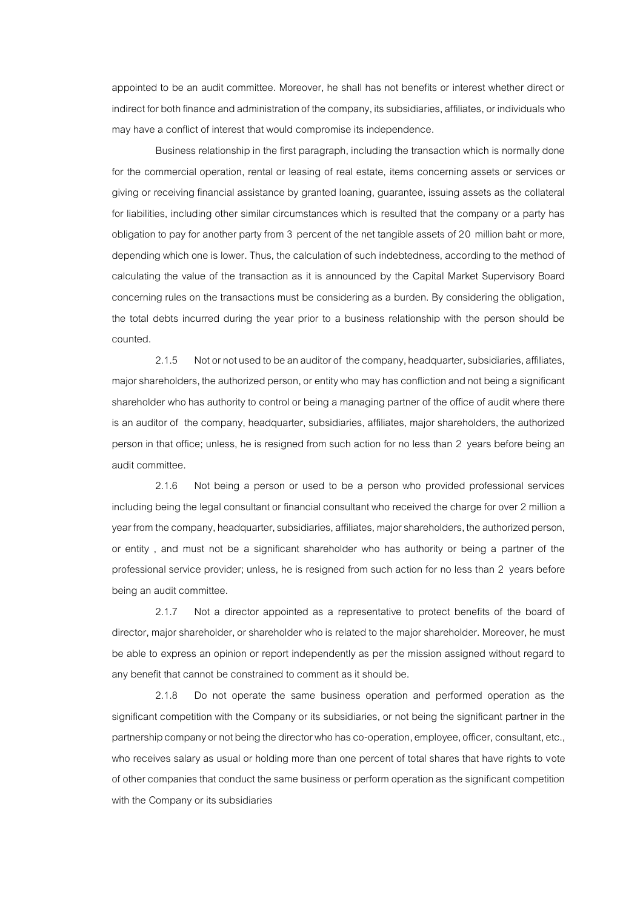appointed to be an audit committee. Moreover, he shall has not benefits or interest whether direct or indirect for both finance and administration of the company, its subsidiaries, affiliates, or individuals who may have a conflict of interest that would compromise its independence.

Business relationship in the first paragraph, including the transaction which is normally done for the commercial operation, rental or leasing of real estate, items concerning assets or services or giving or receiving financial assistance by granted loaning, guarantee, issuing assets as the collateral for liabilities, including other similar circumstances which is resulted that the company or a party has obligation to pay for another party from 3 percent of the net tangible assets of 20 million baht or more, depending which one is lower. Thus, the calculation of such indebtedness, according to the method of calculating the value of the transaction as it is announced by the Capital Market Supervisory Board concerning rules on the transactions must be considering as a burden. By considering the obligation, the total debts incurred during the year prior to a business relationship with the person should be counted.

2.1.5 Not or not used to be an auditor of the company, headquarter, subsidiaries, affiliates, major shareholders, the authorized person, or entity who may has confliction and not being a significant shareholder who has authority to control or being a managing partner of the office of audit where there is an auditor of the company, headquarter, subsidiaries, affiliates, major shareholders, the authorized person in that office; unless, he is resigned from such action for no less than 2 years before being an audit committee.

2.1.6 Not being a person or used to be a person who provided professional services including being the legal consultant or financial consultant who received the charge for over 2 million a year from the company, headquarter, subsidiaries, affiliates, major shareholders, the authorized person, or entity , and must not be a significant shareholder who has authority or being a partner of the professional service provider; unless, he is resigned from such action for no less than 2 years before being an audit committee.

2.1.7 Not a director appointed as a representative to protect benefits of the board of director, major shareholder, or shareholder who is related to the major shareholder. Moreover, he must be able to express an opinion or report independently as per the mission assigned without regard to any benefit that cannot be constrained to comment as it should be.

2.1.8 Do not operate the same business operation and performed operation as the significant competition with the Company or its subsidiaries, or not being the significant partner in the partnership company or not being the director who has co-operation, employee, officer, consultant, etc., who receives salary as usual or holding more than one percent of total shares that have rights to vote of other companies that conduct the same business or perform operation as the significant competition with the Company or its subsidiaries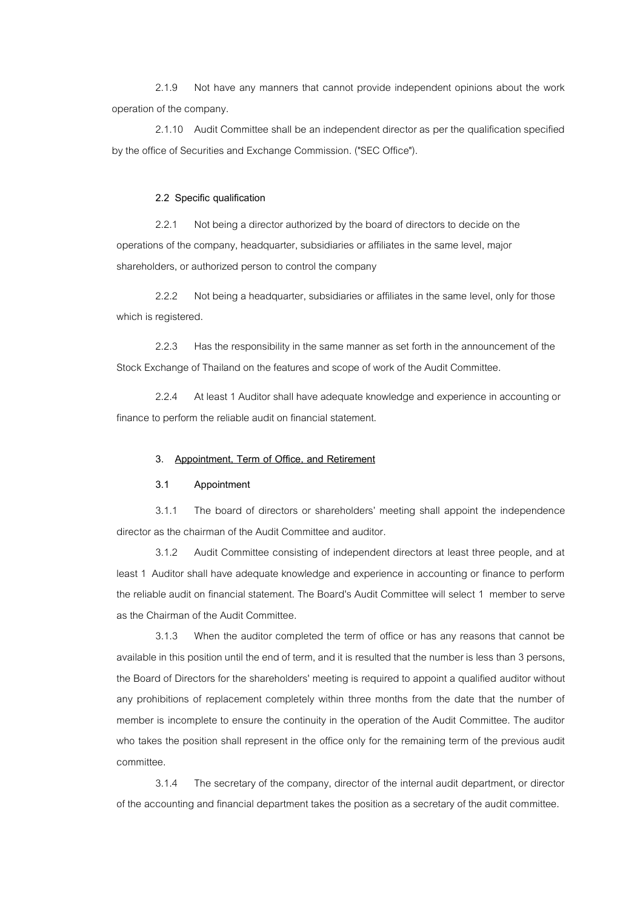2.1.9 Not have any manners that cannot provide independent opinions about the work operation of the company.

2.1.10 Audit Committee shall be an independent director as per the qualification specified by the office of Securities and Exchange Commission. ("SEC Office").

## **2.2 Specific qualification**

2.2.1 Not being a director authorized by the board of directors to decide on the operations of the company, headquarter, subsidiaries or affiliates in the same level, major shareholders, or authorized person to control the company

2.2.2 Not being a headquarter, subsidiaries or affiliates in the same level, only for those which is registered.

2.2.3 Has the responsibility in the same manner as set forth in the announcement of the Stock Exchange of Thailand on the features and scope of work of the Audit Committee.

2.2.4 At least 1 Auditor shall have adequate knowledge and experience in accounting or finance to perform the reliable audit on financial statement.

#### **3. Appointment, Term of Office, and Retirement**

# **3.1 Appointment**

3.1.1 The board of directors or shareholders' meeting shall appoint the independence director as the chairman of the Audit Committee and auditor.

3.1.2 Audit Committee consisting of independent directors at least three people, and at least 1 Auditor shall have adequate knowledge and experience in accounting or finance to perform the reliable audit on financial statement. The Board's Audit Committee will select 1 member to serve as the Chairman of the Audit Committee.

3.1.3 When the auditor completed the term of office or has any reasons that cannot be available in this position until the end of term, and it is resulted that the number is less than 3 persons, the Board of Directors for the shareholders' meeting is required to appoint a qualified auditor without any prohibitions of replacement completely within three months from the date that the number of member is incomplete to ensure the continuity in the operation of the Audit Committee. The auditor who takes the position shall represent in the office only for the remaining term of the previous audit committee.

3.1.4 The secretary of the company, director of the internal audit department, or director of the accounting and financial department takes the position as a secretary of the audit committee.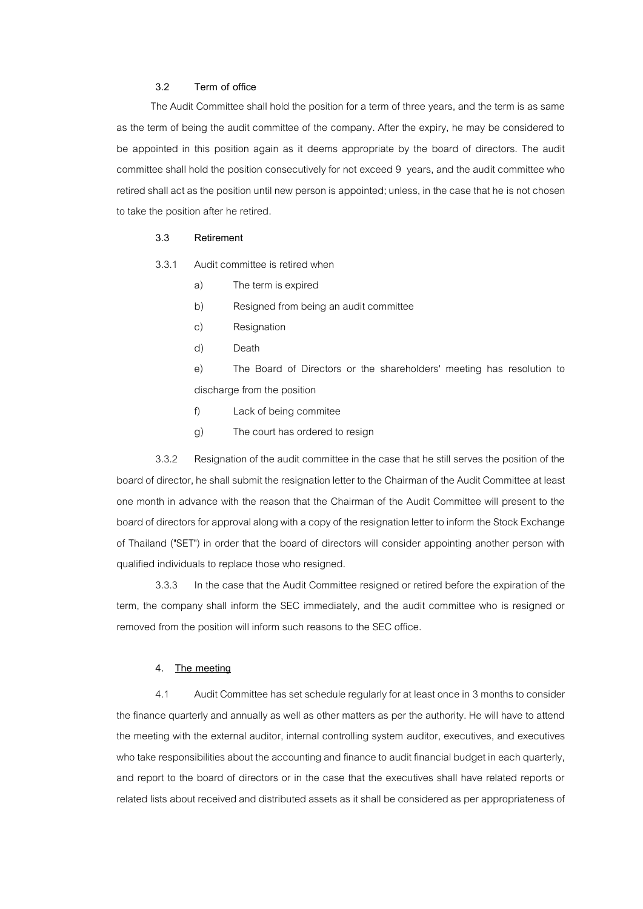#### **3.2 Term of office**

The Audit Committee shall hold the position for a term of three years, and the term is as same as the term of being the audit committee of the company. After the expiry, he may be considered to be appointed in this position again as it deems appropriate by the board of directors. The audit committee shall hold the position consecutively for not exceed 9 years, and the audit committee who retired shall act as the position until new person is appointed; unless, in the case that he is not chosen to take the position after he retired.

# **3.3 Retirement**

- 3.3.1 Audit committee is retired when
	- a) The term is expired
	- b) Resigned from being an audit committee
	- c) Resignation
	- d) Death

e) The Board of Directors or the shareholders' meeting has resolution to discharge from the position

- f) Lack of being commitee
- g) The court has ordered to resign

3.3.2 Resignation of the audit committee in the case that he still serves the position of the board of director, he shall submit the resignation letter to the Chairman of the Audit Committee at least one month in advance with the reason that the Chairman of the Audit Committee will present to the board of directors for approval along with a copy of the resignation letter to inform the Stock Exchange of Thailand ("SET") in order that the board of directors will consider appointing another person with qualified individuals to replace those who resigned.

3.3.3 In the case that the Audit Committee resigned or retired before the expiration of the term, the company shall inform the SEC immediately, and the audit committee who is resigned or removed from the position will inform such reasons to the SEC office.

#### **4. The meeting**

4.1 Audit Committee has set schedule regularly for at least once in 3 months to consider the finance quarterly and annually as well as other matters as per the authority. He will have to attend the meeting with the external auditor, internal controlling system auditor, executives, and executives who take responsibilities about the accounting and finance to audit financial budget in each quarterly, and report to the board of directors or in the case that the executives shall have related reports or related lists about received and distributed assets as it shall be considered as per appropriateness of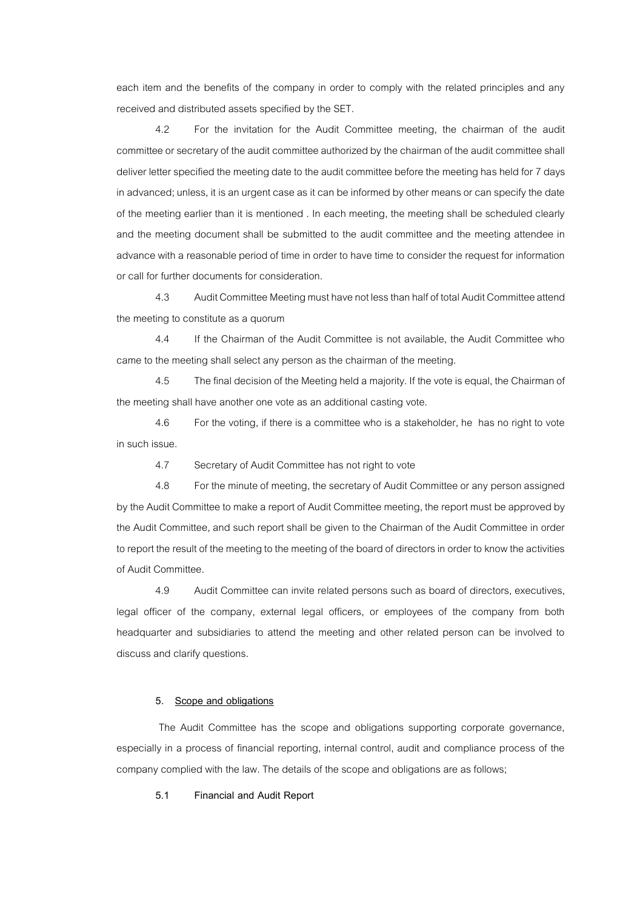each item and the benefits of the company in order to comply with the related principles and any received and distributed assets specified by the SET.

4.2 For the invitation for the Audit Committee meeting, the chairman of the audit committee or secretary of the audit committee authorized by the chairman of the audit committee shall deliver letter specified the meeting date to the audit committee before the meeting has held for 7 days in advanced; unless, it is an urgent case as it can be informed by other means or can specify the date of the meeting earlier than it is mentioned . In each meeting, the meeting shall be scheduled clearly and the meeting document shall be submitted to the audit committee and the meeting attendee in advance with a reasonable period of time in order to have time to consider the request for information or call for further documents for consideration.

4.3 Audit Committee Meeting must have not less than half of total Audit Committee attend the meeting to constitute as a quorum

4.4 If the Chairman of the Audit Committee is not available, the Audit Committee who came to the meeting shall select any person as the chairman of the meeting.

4.5 The final decision of the Meeting held a majority. If the vote is equal, the Chairman of the meeting shall have another one vote as an additional casting vote.

4.6 For the voting, if there is a committee who is a stakeholder, he has no right to vote in such issue.

4.7 Secretary of Audit Committee has not right to vote

4.8 For the minute of meeting, the secretary of Audit Committee or any person assigned by the Audit Committee to make a report of Audit Committee meeting, the report must be approved by the Audit Committee, and such report shall be given to the Chairman of the Audit Committee in order to report the result of the meeting to the meeting of the board of directors in order to know the activities of Audit Committee.

4.9 Audit Committee can invite related persons such as board of directors, executives, legal officer of the company, external legal officers, or employees of the company from both headquarter and subsidiaries to attend the meeting and other related person can be involved to discuss and clarify questions.

#### **5. Scope and obligations**

The Audit Committee has the scope and obligations supporting corporate governance, especially in a process of financial reporting, internal control, audit and compliance process of the company complied with the law. The details of the scope and obligations are as follows;

**5.1 Financial and Audit Report**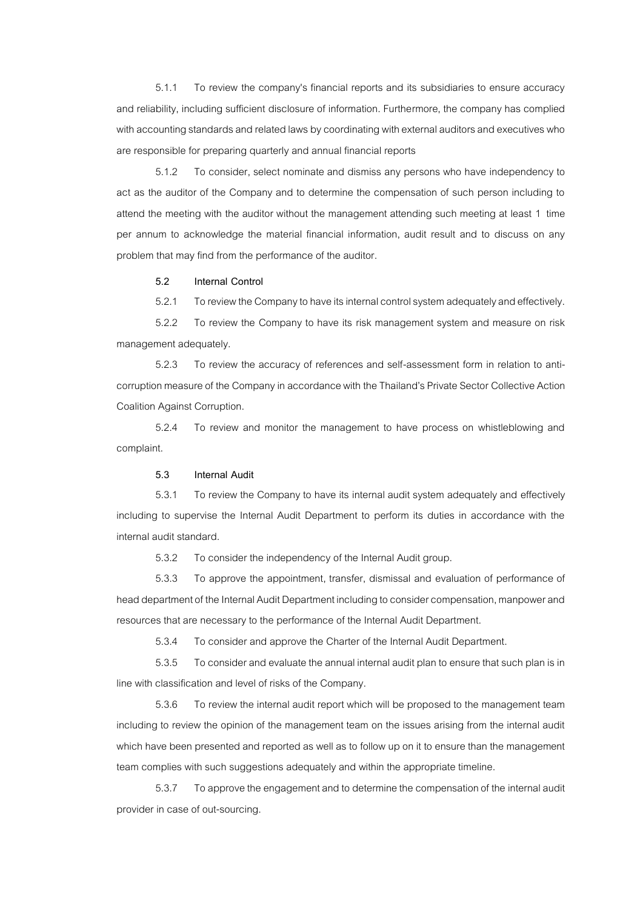5.1.1 To review the company's financial reports and its subsidiaries to ensure accuracy and reliability, including sufficient disclosure of information. Furthermore, the company has complied with accounting standards and related laws by coordinating with external auditors and executives who are responsible for preparing quarterly and annual financial reports

5.1.2 To consider, select nominate and dismiss any persons who have independency to act as the auditor of the Company and to determine the compensation of such person including to attend the meeting with the auditor without the management attending such meeting at least 1 time per annum to acknowledge the material financial information, audit result and to discuss on any problem that may find from the performance of the auditor.

# **5.2 Internal Control**

5.2.1 To review the Company to have its internal control system adequately and effectively.

5.2.2 To review the Company to have its risk management system and measure on risk management adequately.

5.2.3 To review the accuracy of references and self-assessment form in relation to anticorruption measure of the Company in accordance with the Thailand's Private Sector Collective Action Coalition Against Corruption.

5.2.4 To review and monitor the management to have process on whistleblowing and complaint.

# **5.3 Internal Audit**

5.3.1 To review the Company to have its internal audit system adequately and effectively including to supervise the Internal Audit Department to perform its duties in accordance with the internal audit standard.

5.3.2 To consider the independency of the Internal Audit group.

5.3.3 To approve the appointment, transfer, dismissal and evaluation of performance of head department of the Internal Audit Department including to consider compensation, manpower and resources that are necessary to the performance of the Internal Audit Department.

5.3.4 To consider and approve the Charter of the Internal Audit Department.

5.3.5 To consider and evaluate the annual internal audit plan to ensure that such plan is in line with classification and level of risks of the Company.

5.3.6 To review the internal audit report which will be proposed to the management team including to review the opinion of the management team on the issues arising from the internal audit which have been presented and reported as well as to follow up on it to ensure than the management team complies with such suggestions adequately and within the appropriate timeline.

5.3.7 To approve the engagement and to determine the compensation of the internal audit provider in case of out-sourcing.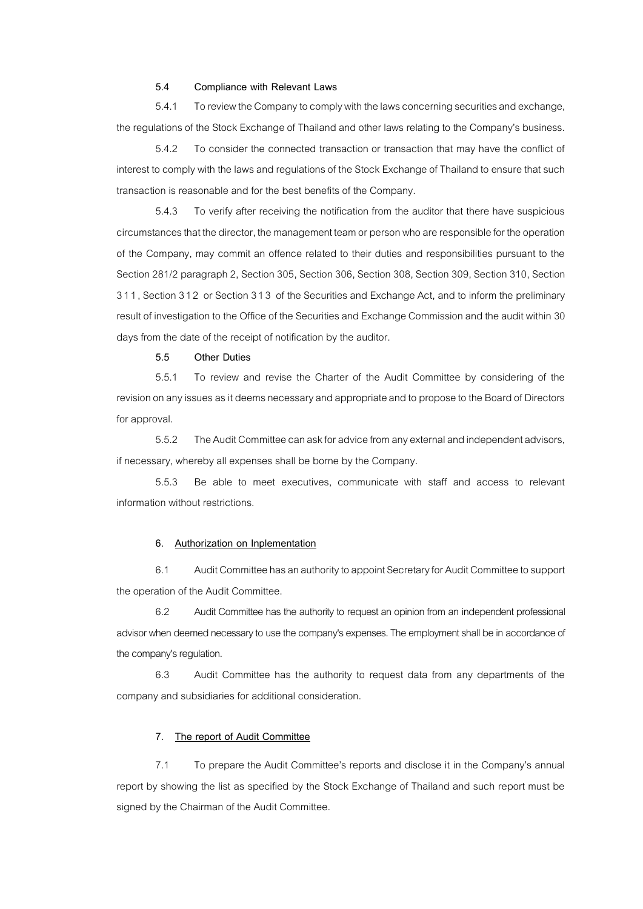# **5.4 Compliance with Relevant Laws**

5.4.1 To review the Company to comply with the laws concerning securities and exchange, the regulations of the Stock Exchange of Thailand and other laws relating to the Company's business.

5.4.2 To consider the connected transaction or transaction that may have the conflict of interest to comply with the laws and regulations of the Stock Exchange of Thailand to ensure that such transaction is reasonable and for the best benefits of the Company.

5.4.3 To verify after receiving the notification from the auditor that there have suspicious circumstances that the director, the management team or person who are responsible for the operation of the Company, may commit an offence related to their duties and responsibilities pursuant to the Section 281/2 paragraph 2, Section 305, Section 306, Section 308, Section 309, Section 310, Section 311, Section 312 or Section 313 of the Securities and Exchange Act, and to inform the preliminary result of investigation to the Office of the Securities and Exchange Commission and the audit within 30 days from the date of the receipt of notification by the auditor.

# **5.5 Other Duties**

5.5.1 To review and revise the Charter of the Audit Committee by considering of the revision on any issues as it deems necessary and appropriate and to propose to the Board of Directors for approval.

5.5.2 The Audit Committee can ask for advice from any external and independent advisors, if necessary, whereby all expenses shall be borne by the Company.

5.5.3 Be able to meet executives, communicate with staff and access to relevant information without restrictions.

#### **6. Authorization on Inplementation**

6.1 Audit Committee has an authority to appoint Secretary for Audit Committee to support the operation of the Audit Committee.

6.2 Audit Committee has the authority to request an opinion from an independent professional advisor when deemed necessary to use the company's expenses. The employment shall be in accordance of the company's regulation.

6.3 Audit Committee has the authority to request data from any departments of the company and subsidiaries for additional consideration.

# **7. The report of Audit Committee**

7.1 To prepare the Audit Committee's reports and disclose it in the Company's annual report by showing the list as specified by the Stock Exchange of Thailand and such report must be signed by the Chairman of the Audit Committee.